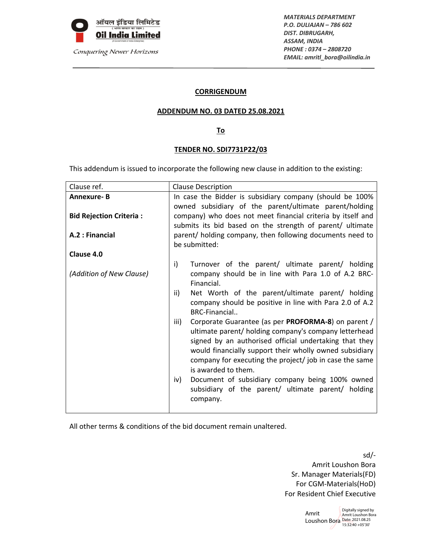

*MATERIALS DEPARTMENT P.O. DULIAJAN – 786 602 DIST. DIBRUGARH, ASSAM, INDIA PHONE : 0374 – 2808720 EMAIL: amritl\_bora@oilindia.in*

## **CORRIGENDUM**

### **ADDENDUM NO. 03 DATED 25.08.2021**

## **To**

#### **TENDER NO. SDI7731P22/03**

This addendum is issued to incorporate the following new clause in addition to the existing:

| Clause ref.                    | <b>Clause Description</b>                                                                                                                                                                                                                                                                                                   |  |
|--------------------------------|-----------------------------------------------------------------------------------------------------------------------------------------------------------------------------------------------------------------------------------------------------------------------------------------------------------------------------|--|
| <b>Annexure-B</b>              | In case the Bidder is subsidiary company (should be 100%<br>owned subsidiary of the parent/ultimate parent/holding                                                                                                                                                                                                          |  |
| <b>Bid Rejection Criteria:</b> | company) who does not meet financial criteria by itself and<br>submits its bid based on the strength of parent/ ultimate                                                                                                                                                                                                    |  |
| A.2 : Financial                | parent/ holding company, then following documents need to<br>be submitted:                                                                                                                                                                                                                                                  |  |
| Clause 4.0                     |                                                                                                                                                                                                                                                                                                                             |  |
| (Addition of New Clause)       | i)<br>Turnover of the parent/ ultimate parent/ holding<br>company should be in line with Para 1.0 of A.2 BRC-<br>Financial.                                                                                                                                                                                                 |  |
|                                | Net Worth of the parent/ultimate parent/ holding<br>ii)<br>company should be positive in line with Para 2.0 of A.2<br>BRC-Financial                                                                                                                                                                                         |  |
|                                | Corporate Guarantee (as per PROFORMA-8) on parent /<br>iii)<br>ultimate parent/ holding company's company letterhead<br>signed by an authorised official undertaking that they<br>would financially support their wholly owned subsidiary<br>company for executing the project/ job in case the same<br>is awarded to them. |  |
|                                | Document of subsidiary company being 100% owned<br>iv)<br>subsidiary of the parent/ ultimate parent/ holding<br>company.                                                                                                                                                                                                    |  |

All other terms & conditions of the bid document remain unaltered.

sd/‐ Amrit Loushon Bora Sr. Manager Materials(FD) For CGM‐Materials(HoD) For Resident Chief Executive

> Amrit Loushon Bora Date: 2021.08.25 Digitally signed by Amrit Loushon Bora 15:32:40 +05'30'